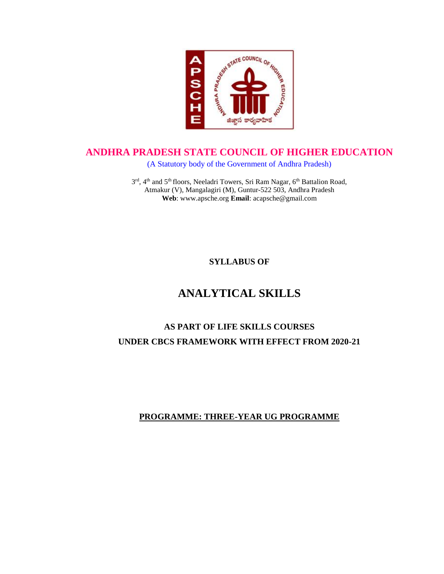

### **ANDHRA PRADESH STATE COUNCIL OF HIGHER EDUCATION**

(A Statutory body of the Government of Andhra Pradesh)

3<sup>rd</sup>, 4<sup>th</sup> and 5<sup>th</sup> floors, Neeladri Towers, Sri Ram Nagar, 6<sup>th</sup> Battalion Road, Atmakur (V), Mangalagiri (M), Guntur-522 503, Andhra Pradesh **Web**: www.apsche.org **Email**: acapsche@gmail.com

**SYLLABUS OF**

# **ANALYTICAL SKILLS**

# **AS PART OF LIFE SKILLS COURSES UNDER CBCS FRAMEWORK WITH EFFECT FROM 2020-21**

### **PROGRAMME: THREE-YEAR UG PROGRAMME**